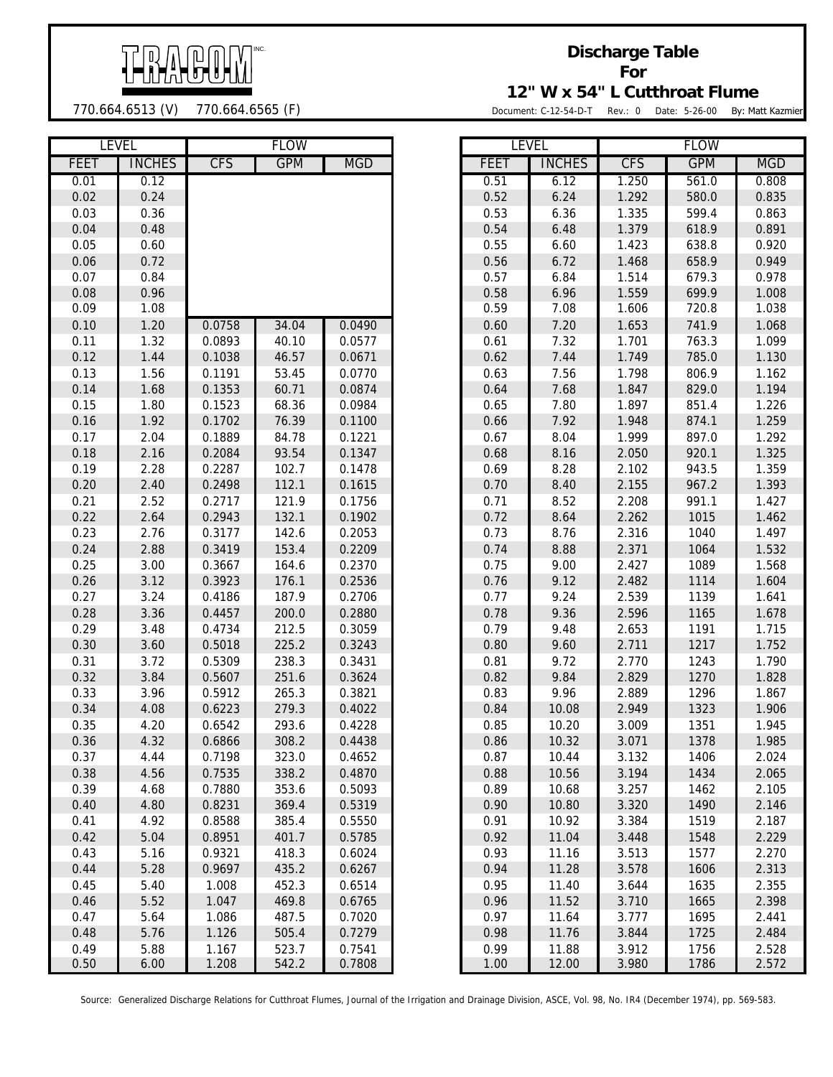

## 770.664.6513 (V) 770.664.6565 (F)

## **Discharge Table For 12" W x 54" L Cutthroat Flume**

Document: C-12-54-D-T Rev.: 0 Date: 5-26-00 By: Matt Kazmier

|              | <b>LEVEL</b>  |                | <b>FLOW</b>    |                  | <b>LEVEL</b> |                | <b>FLOW</b>    |              |
|--------------|---------------|----------------|----------------|------------------|--------------|----------------|----------------|--------------|
| <b>FEET</b>  | <b>INCHES</b> | <b>CFS</b>     | <b>GPM</b>     | <b>MGD</b>       | <b>FEET</b>  | <b>INCHES</b>  | <b>CFS</b>     | <b>GPM</b>   |
| 0.01         | 0.12          |                |                |                  | 0.51         | 6.12           | 1.250          | 561.0        |
| 0.02         | 0.24          |                |                |                  | 0.52         | 6.24           | 1.292          | 580.0        |
| 0.03         | 0.36          |                |                |                  | 0.53         | 6.36           | 1.335          | 599.4        |
| 0.04         | 0.48          |                |                |                  | 0.54         | 6.48           | 1.379          | 618.9        |
| 0.05         | 0.60          |                |                |                  | 0.55         | 6.60           | 1.423          | 638.8        |
| 0.06         | 0.72          |                |                |                  | 0.56         | 6.72           | 1.468          | 658.9        |
| 0.07         | 0.84          |                |                |                  | 0.57         | 6.84           | 1.514          | 679.3        |
| 0.08         | 0.96          |                |                |                  | 0.58         | 6.96           | 1.559          | 699.9        |
| 0.09         | 1.08          |                |                |                  | 0.59         | 7.08           | 1.606          | 720.8        |
| 0.10         | 1.20          | 0.0758         | 34.04          | 0.0490           | 0.60         | 7.20           | 1.653          | 741.9        |
| 0.11         | 1.32          | 0.0893         | 40.10          | 0.0577           | 0.61         | 7.32           | 1.701          | 763.3        |
| 0.12         | 1.44          | 0.1038         | 46.57          | 0.0671           | 0.62         | 7.44           | 1.749          | 785.0        |
| 0.13         | 1.56          | 0.1191         | 53.45          | 0.0770           | 0.63         | 7.56           | 1.798          | 806.9        |
| 0.14         | 1.68          | 0.1353         | 60.71          | 0.0874           | 0.64         | 7.68           | 1.847          | 829.0        |
| 0.15         | 1.80          | 0.1523         | 68.36          | 0.0984           | 0.65         | 7.80           | 1.897          | 851.4        |
| 0.16         | 1.92          | 0.1702         | 76.39          | 0.1100           | 0.66         | 7.92           | 1.948          | 874.1        |
| 0.17         | 2.04          | 0.1889         | 84.78          | 0.1221           | 0.67         | 8.04           | 1.999          | 897.0        |
| 0.18         | 2.16          | 0.2084         | 93.54          | 0.1347           | 0.68         | 8.16           | 2.050          | 920.1        |
| 0.19         | 2.28          | 0.2287         | 102.7          | 0.1478           | 0.69         | 8.28           | 2.102          | 943.5        |
| 0.20         | 2.40          | 0.2498         | 112.1          | 0.1615           | 0.70         | 8.40           | 2.155          | 967.2        |
| 0.21         | 2.52          | 0.2717         | 121.9          | 0.1756           | 0.71         | 8.52           | 2.208          | 991.1        |
| 0.22         | 2.64          | 0.2943         | 132.1          | 0.1902           | 0.72         | 8.64           | 2.262          | 1015         |
| 0.23         | 2.76          | 0.3177         | 142.6          | 0.2053           | 0.73         | 8.76           | 2.316          | 1040         |
| 0.24         | 2.88          | 0.3419         | 153.4          | 0.2209           | 0.74         | 8.88           | 2.371          | 1064         |
| 0.25         | 3.00          | 0.3667         | 164.6          | 0.2370           | 0.75         | 9.00           | 2.427          | 1089         |
| 0.26         | 3.12          | 0.3923         | 176.1          | 0.2536           | 0.76         | 9.12           | 2.482          | 1114         |
| 0.27         | 3.24          | 0.4186         | 187.9          | 0.2706           | 0.77         | 9.24           | 2.539          | 1139         |
| 0.28         | 3.36          | 0.4457         | 200.0          | 0.2880           | 0.78         | 9.36           | 2.596          | 1165         |
| 0.29         | 3.48          | 0.4734         | 212.5          | 0.3059           | 0.79         | 9.48           | 2.653          | 1191         |
| 0.30         | 3.60          | 0.5018         | 225.2          | 0.3243           | 0.80         | 9.60           | 2.711          | 1217         |
| 0.31         | 3.72          | 0.5309         | 238.3          | 0.3431           | 0.81         | 9.72           | 2.770          | 1243         |
| 0.32         | 3.84          | 0.5607         | 251.6          | 0.3624           | 0.82         | 9.84           | 2.829          | 1270         |
| 0.33         | 3.96          | 0.5912         | 265.3          | 0.3821           | 0.83         | 9.96           | 2.889          | 1296         |
| 0.34         | 4.08          | 0.6223         | 279.3          | 0.4022           | 0.84         | 10.08          | 2.949          | 1323         |
| 0.35         | 4.20          | 0.6542         | 293.6          | 0.4228           | 0.85         | 10.20          | 3.009          | 1351         |
| 0.36         | 4.32          | 0.6866         | 308.2          | 0.4438           | 0.86         | 10.32          | 3.071          | 1378         |
| 0.37         | 4.44          | 0.7198         | 323.0          | 0.4652           | 0.87         | 10.44          | 3.132          | 1406         |
| 0.38         | 4.56          | 0.7535         | 338.2          | 0.4870           | 0.88         | 10.56          | 3.194          | 1434         |
| 0.39         | 4.68          | 0.7880         | 353.6          | 0.5093           | 0.89         | 10.68          | 3.257          | 1462         |
| 0.40         | 4.80          | 0.8231         | 369.4          | 0.5319           | 0.90         | 10.80          | 3.320          | 1490         |
| 0.41         | 4.92          | 0.8588         | 385.4          | 0.5550           | 0.91         | 10.92          | 3.384          | 1519         |
| 0.42         | 5.04          | 0.8951         | 401.7          | 0.5785           | 0.92         | 11.04          | 3.448          | 1548         |
| 0.43         | 5.16          | 0.9321         | 418.3          | 0.6024           | 0.93         | 11.16          | 3.513          | 1577         |
| 0.44         | 5.28          | 0.9697         | 435.2          | 0.6267           | 0.94         | 11.28          | 3.578          | 1606         |
| 0.45         | 5.40          | 1.008          | 452.3          | 0.6514           | 0.95         | 11.40          | 3.644          | 1635         |
| 0.46<br>0.47 | 5.52<br>5.64  | 1.047<br>1.086 | 469.8<br>487.5 | 0.6765<br>0.7020 | 0.96<br>0.97 | 11.52<br>11.64 | 3.710<br>3.777 | 1665<br>1695 |
| 0.48         | 5.76          |                | 505.4          | 0.7279           | 0.98         | 11.76          |                | 1725         |
| 0.49         | 5.88          | 1.126<br>1.167 | 523.7          | 0.7541           | 0.99         | 11.88          | 3.844<br>3.912 | 1756         |
| 0.50         | 6.00          | 1.208          | 5422           | 0.7808           | 1.00         | 1200           | 3.980          | 1786         |

| LEVEL |               |            | <b>FLUW</b> |            |             | LEVEL         |            | <b>FLUW</b> |            |
|-------|---------------|------------|-------------|------------|-------------|---------------|------------|-------------|------------|
| FEET  | <b>INCHES</b> | <b>CFS</b> | <b>GPM</b>  | <b>MGD</b> | <b>FEET</b> | <b>INCHES</b> | <b>CFS</b> | <b>GPM</b>  | <b>MGD</b> |
| 0.01  | 0.12          |            |             |            | 0.51        | 6.12          | 1.250      | 561.0       | 0.808      |
| 0.02  | 0.24          |            |             |            | 0.52        | 6.24          | 1.292      | 580.0       | 0.835      |
| 0.03  | 0.36          |            |             |            | 0.53        | 6.36          | 1.335      | 599.4       | 0.863      |
| 0.04  | 0.48          |            |             |            | 0.54        | 6.48          | 1.379      | 618.9       | 0.891      |
| 0.05  | 0.60          |            |             |            | 0.55        | 6.60          | 1.423      | 638.8       | 0.920      |
| 0.06  | 0.72          |            |             |            | 0.56        | 6.72          | 1.468      | 658.9       | 0.949      |
| 0.07  | 0.84          |            |             |            | 0.57        | 6.84          | 1.514      | 679.3       | 0.978      |
| 0.08  | 0.96          |            |             |            | 0.58        | 6.96          | 1.559      | 699.9       | 1.008      |
| 0.09  | 1.08          |            |             |            | 0.59        | 7.08          | 1.606      | 720.8       | 1.038      |
| 0.10  | 1.20          | 0.0758     | 34.04       | 0.0490     | 0.60        | 7.20          | 1.653      | 741.9       | 1.068      |
| 0.11  | 1.32          | 0.0893     | 40.10       | 0.0577     | 0.61        | 7.32          | 1.701      | 763.3       | 1.099      |
| 0.12  | 1.44          | 0.1038     | 46.57       | 0.0671     | 0.62        | 7.44          | 1.749      | 785.0       | 1.130      |
| 0.13  | 1.56          | 0.1191     | 53.45       | 0.0770     | 0.63        | 7.56          | 1.798      | 806.9       | 1.162      |
| 0.14  | 1.68          | 0.1353     | 60.71       | 0.0874     | 0.64        | 7.68          | 1.847      | 829.0       | 1.194      |
| 0.15  | 1.80          | 0.1523     | 68.36       | 0.0984     | 0.65        | 7.80          | 1.897      | 851.4       | 1.226      |
| 0.16  | 1.92          | 0.1702     | 76.39       | 0.1100     | 0.66        | 7.92          | 1.948      | 874.1       | 1.259      |
| 0.17  | 2.04          | 0.1889     | 84.78       | 0.1221     | 0.67        | 8.04          | 1.999      | 897.0       | 1.292      |
| 0.18  | 2.16          | 0.2084     | 93.54       | 0.1347     | 0.68        | 8.16          | 2.050      | 920.1       | 1.325      |
| 0.19  | 2.28          | 0.2287     | 102.7       | 0.1478     | 0.69        | 8.28          | 2.102      | 943.5       | 1.359      |
| 0.20  | 2.40          | 0.2498     | 112.1       | 0.1615     | 0.70        | 8.40          | 2.155      | 967.2       | 1.393      |
| 0.21  | 2.52          | 0.2717     | 121.9       | 0.1756     | 0.71        | 8.52          | 2.208      | 991.1       | 1.427      |
| 0.22  | 2.64          | 0.2943     | 132.1       | 0.1902     | 0.72        | 8.64          | 2.262      | 1015        | 1.462      |
| 0.23  | 2.76          | 0.3177     | 142.6       | 0.2053     | 0.73        | 8.76          | 2.316      | 1040        | 1.497      |
| 0.24  | 2.88          | 0.3419     | 153.4       | 0.2209     | 0.74        | 8.88          | 2.371      | 1064        | 1.532      |
| 0.25  | 3.00          | 0.3667     | 164.6       | 0.2370     | 0.75        | 9.00          | 2.427      | 1089        | 1.568      |
| 0.26  | 3.12          | 0.3923     | 176.1       | 0.2536     | 0.76        | 9.12          | 2.482      | 1114        | 1.604      |
| 0.27  | 3.24          | 0.4186     | 187.9       | 0.2706     | 0.77        | 9.24          | 2.539      | 1139        | 1.641      |
| 0.28  | 3.36          | 0.4457     | 200.0       | 0.2880     | 0.78        | 9.36          | 2.596      | 1165        | 1.678      |
| 0.29  | 3.48          | 0.4734     | 212.5       | 0.3059     | 0.79        | 9.48          | 2.653      | 1191        | 1.715      |
| 0.30  | 3.60          | 0.5018     | 225.2       | 0.3243     | 0.80        | 9.60          | 2.711      | 1217        | 1.752      |
| 0.31  | 3.72          | 0.5309     | 238.3       | 0.3431     | 0.81        | 9.72          | 2.770      | 1243        | 1.790      |
| 0.32  | 3.84          | 0.5607     | 251.6       | 0.3624     | 0.82        | 9.84          | 2.829      | 1270        | 1.828      |
| 0.33  | 3.96          | 0.5912     | 265.3       | 0.3821     | 0.83        | 9.96          | 2.889      | 1296        | 1.867      |
| 0.34  | 4.08          | 0.6223     | 279.3       | 0.4022     | 0.84        | 10.08         | 2.949      | 1323        | 1.906      |
| 0.35  | 4.20          | 0.6542     | 293.6       | 0.4228     | 0.85        | 10.20         | 3.009      | 1351        | 1.945      |
| 0.36  | 4.32          | 0.6866     | 308.2       | 0.4438     | 0.86        | 10.32         | 3.071      | 1378        | 1.985      |
| 0.37  | 4.44          | 0.7198     | 323.0       | 0.4652     | 0.87        | 10.44         | 3.132      | 1406        | 2.024      |
| 0.38  | 4.56          | 0.7535     | 338.2       | 0.4870     | 0.88        | 10.56         | 3.194      | 1434        | 2.065      |
| 0.39  | 4.68          | 0.7880     | 353.6       | 0.5093     | 0.89        | 10.68         | 3.257      | 1462        | 2.105      |
| 0.40  | 4.80          | 0.8231     | 369.4       | 0.5319     | 0.90        | 10.80         | 3.320      | 1490        | 2.146      |
| 0.41  | 4.92          | 0.8588     | 385.4       | 0.5550     | 0.91        | 10.92         | 3.384      | 1519        | 2.187      |
| 0.42  | 5.04          | 0.8951     | 401.7       | 0.5785     | 0.92        | 11.04         | 3.448      | 1548        | 2.229      |
| 0.43  | 5.16          | 0.9321     | 418.3       | 0.6024     | 0.93        | 11.16         | 3.513      | 1577        | 2.270      |
| 0.44  | 5.28          | 0.9697     | 435.2       | 0.6267     | 0.94        | 11.28         | 3.578      | 1606        | 2.313      |
| 0.45  | 5.40          | 1.008      | 452.3       | 0.6514     | 0.95        | 11.40         | 3.644      | 1635        | 2.355      |
| 0.46  | 5.52          | 1.047      | 469.8       | 0.6765     | 0.96        | 11.52         | 3.710      | 1665        | 2.398      |
| 0.47  | 5.64          | 1.086      | 487.5       | 0.7020     | 0.97        | 11.64         | 3.777      | 1695        | 2.441      |
| 0.48  | 5.76          | 1.126      | 505.4       | 0.7279     | 0.98        | 11.76         | 3.844      | 1725        | 2.484      |
| 0.49  | 5.88          | 1.167      | 523.7       | 0.7541     | 0.99        | 11.88         | 3.912      | 1756        | 2.528      |
| 0.50  | 6.00          | 1.208      | 542.2       | 0.7808     | 1.00        | 12.00         | 3.980      | 1786        | 2.572      |

Source: Generalized Discharge Relations for Cutthroat Flumes, Journal of the Irrigation and Drainage Division, ASCE, Vol. 98, No. IR4 (December 1974), pp. 569-583.